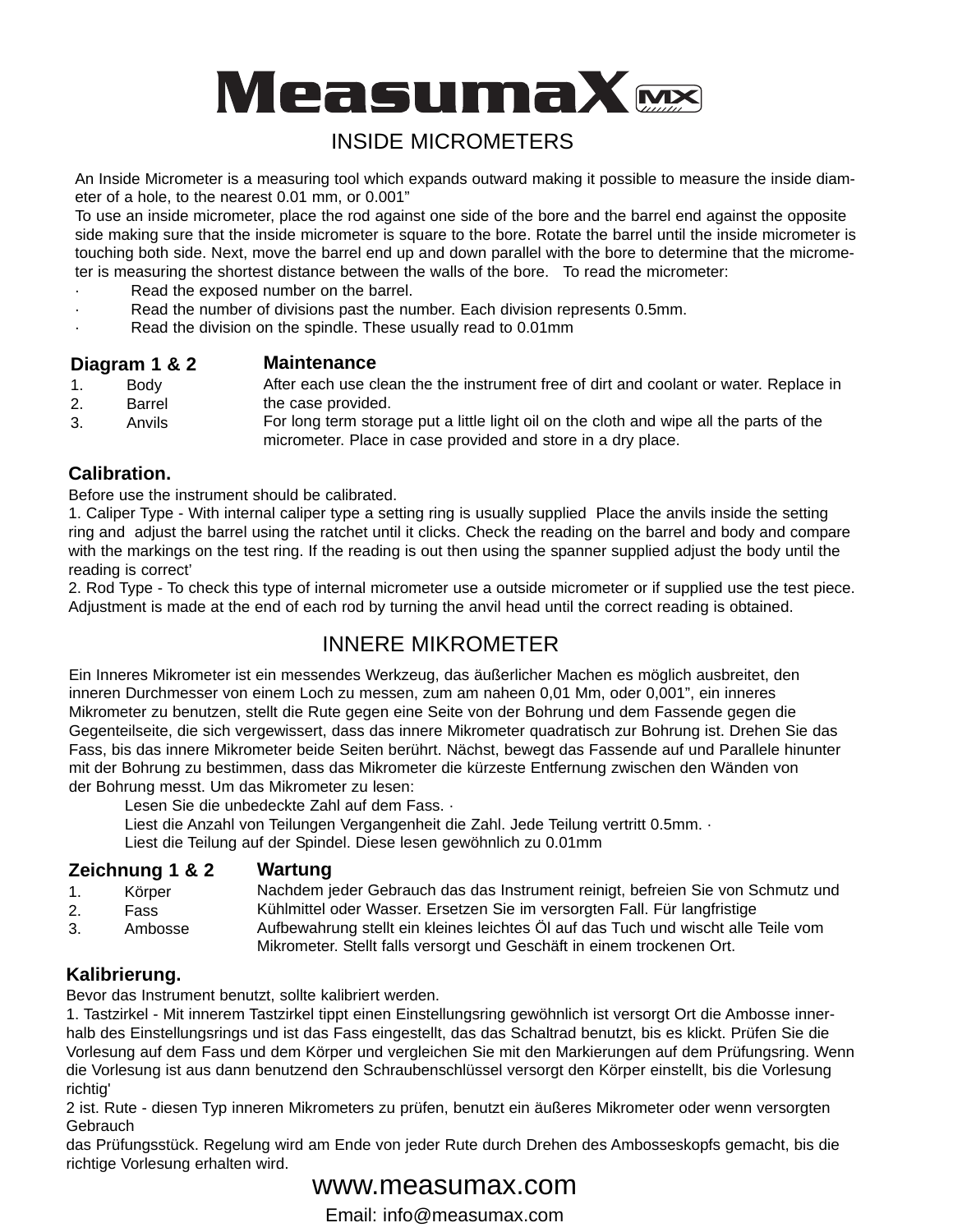

# INSIDE MICROMETERS

An Inside Micrometer is a measuring tool which expands outward making it possible to measure the inside diameter of a hole, to the nearest 0.01 mm, or 0.001"

To use an inside micrometer, place the rod against one side of the bore and the barrel end against the opposite side making sure that the inside micrometer is square to the bore. Rotate the barrel until the inside micrometer is touching both side. Next, move the barrel end up and down parallel with the bore to determine that the micrometer is measuring the shortest distance between the walls of the bore. To read the micrometer:

- Read the exposed number on the barrel.
- Read the number of divisions past the number. Each division represents 0.5mm.
- Read the division on the spindle. These usually read to 0.01mm

### **Diagram 1 & 2 Maintenance**

- 1. Body 2. Barrel After each use clean the the instrument free of dirt and coolant or water. Replace in the case provided.
- 3. Anvils For long term storage put a little light oil on the cloth and wipe all the parts of the micrometer. Place in case provided and store in a dry place.

## **Calibration.**

Before use the instrument should be calibrated.

1. Caliper Type - With internal caliper type a setting ring is usually supplied Place the anvils inside the setting ring and adjust the barrel using the ratchet until it clicks. Check the reading on the barrel and body and compare with the markings on the test ring. If the reading is out then using the spanner supplied adjust the body until the reading is correct'

2. Rod Type - To check this type of internal micrometer use a outside micrometer or if supplied use the test piece. Adjustment is made at the end of each rod by turning the anvil head until the correct reading is obtained.

# INNERE MIKROMETER

Ein Inneres Mikrometer ist ein messendes Werkzeug, das äußerlicher Machen es möglich ausbreitet, den inneren Durchmesser von einem Loch zu messen, zum am naheen 0,01 Mm, oder 0,001", ein inneres Mikrometer zu benutzen, stellt die Rute gegen eine Seite von der Bohrung und dem Fassende gegen die Gegenteilseite, die sich vergewissert, dass das innere Mikrometer quadratisch zur Bohrung ist. Drehen Sie das Fass, bis das innere Mikrometer beide Seiten berührt. Nächst, bewegt das Fassende auf und Parallele hinunter mit der Bohrung zu bestimmen, dass das Mikrometer die kürzeste Entfernung zwischen den Wänden von der Bohrung messt. Um das Mikrometer zu lesen:

Lesen Sie die unbedeckte Zahl auf dem Fass. ·

Liest die Anzahl von Teilungen Vergangenheit die Zahl. Jede Teilung vertritt 0.5mm. ·

Liest die Teilung auf der Spindel. Diese lesen gewöhnlich zu 0.01mm

#### **Zeichnung 1 & 2 Wartung**

- 1. Körper 2. Fass Nachdem jeder Gebrauch das das Instrument reinigt, befreien Sie von Schmutz und Kühlmittel oder Wasser. Ersetzen Sie im versorgten Fall. Für langfristige
- 3. Ambosse Aufbewahrung stellt ein kleines leichtes Öl auf das Tuch und wischt alle Teile vom Mikrometer. Stellt falls versorgt und Geschäft in einem trockenen Ort.

# **Kalibrierung.**

Bevor das Instrument benutzt, sollte kalibriert werden.

1. Tastzirkel - Mit innerem Tastzirkel tippt einen Einstellungsring gewöhnlich ist versorgt Ort die Ambosse innerhalb des Einstellungsrings und ist das Fass eingestellt, das das Schaltrad benutzt, bis es klickt. Prüfen Sie die Vorlesung auf dem Fass und dem Körper und vergleichen Sie mit den Markierungen auf dem Prüfungsring. Wenn die Vorlesung ist aus dann benutzend den Schraubenschlüssel versorgt den Körper einstellt, bis die Vorlesung richtig'

2 ist. Rute - diesen Typ inneren Mikrometers zu prüfen, benutzt ein äußeres Mikrometer oder wenn versorgten Gebrauch

das Prüfungsstück. Regelung wird am Ende von jeder Rute durch Drehen des Ambosseskopfs gemacht, bis die richtige Vorlesung erhalten wird.

# www.measumax.com

Email: info@measumax.com